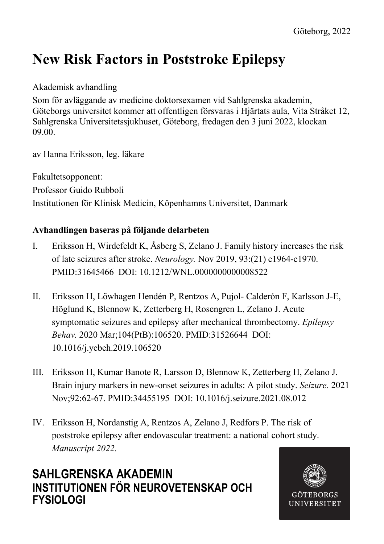# **New Risk Factors in Poststroke Epilepsy**

### Akademisk avhandling

Som för avläggande av medicine doktorsexamen vid Sahlgrenska akademin, Göteborgs universitet kommer att offentligen försvaras i Hjärtats aula, Vita Stråket 12, Sahlgrenska Universitetssjukhuset, Göteborg, fredagen den 3 juni 2022, klockan 09.00.

av Hanna Eriksson, leg. läkare

Fakultetsopponent: Professor Guido Rubboli Institutionen för Klinisk Medicin, Köpenhamns Universitet, Danmark

### **Avhandlingen baseras på följande delarbeten**

- I. Eriksson H, Wirdefeldt K, Åsberg S, Zelano J. Family history increases the risk of late seizures after stroke. *Neurology.* Nov 2019, 93:(21) e1964-e1970. PMID:31645466 DOI: 10.1212/WNL.0000000000008522
- II. Eriksson H, Löwhagen Hendén P, Rentzos A, Pujol- Calderón F, Karlsson J-E, Höglund K, Blennow K, Zetterberg H, Rosengren L, Zelano J. Acute symptomatic seizures and epilepsy after mechanical thrombectomy. *Epilepsy Behav.* 2020 Mar;104(PtB):106520. PMID:31526644 DOI: 10.1016/j.yebeh.2019.106520
- III. Eriksson H, Kumar Banote R, Larsson D, Blennow K, Zetterberg H, Zelano J. Brain injury markers in new-onset seizures in adults: A pilot study. *Seizure.* 2021 Nov;92:62-67. PMID:34455195 DOI: 10.1016/j.seizure.2021.08.012
- IV. Eriksson H, Nordanstig A, Rentzos A, Zelano J, Redfors P. The risk of poststroke epilepsy after endovascular treatment: a national cohort study. *Manuscript 2022.*

### **SAHLGRENSKA AKADEMIN INSTITUTIONEN FÖR NEUROVETENSKAP OCH FYSIOLOGI**